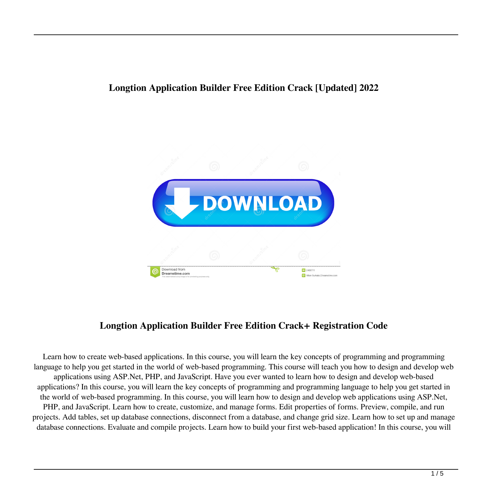# **Longtion Application Builder Free Edition Crack [Updated] 2022**



# **Longtion Application Builder Free Edition Crack+ Registration Code**

Learn how to create web-based applications. In this course, you will learn the key concepts of programming and programming language to help you get started in the world of web-based programming. This course will teach you how to design and develop web applications using ASP.Net, PHP, and JavaScript. Have you ever wanted to learn how to design and develop web-based applications? In this course, you will learn the key concepts of programming and programming language to help you get started in the world of web-based programming. In this course, you will learn how to design and develop web applications using ASP.Net, PHP, and JavaScript. Learn how to create, customize, and manage forms. Edit properties of forms. Preview, compile, and run projects. Add tables, set up database connections, disconnect from a database, and change grid size. Learn how to set up and manage database connections. Evaluate and compile projects. Learn how to build your first web-based application! In this course, you will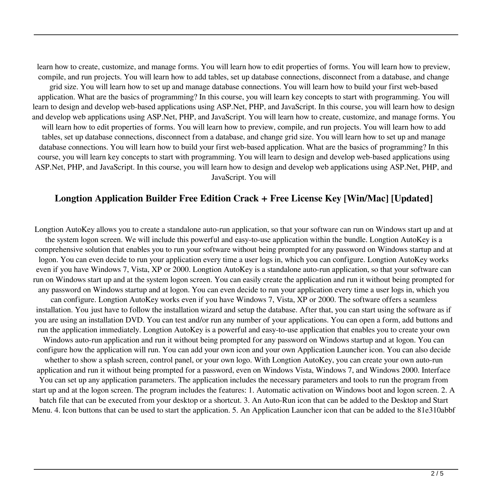learn how to create, customize, and manage forms. You will learn how to edit properties of forms. You will learn how to preview, compile, and run projects. You will learn how to add tables, set up database connections, disconnect from a database, and change grid size. You will learn how to set up and manage database connections. You will learn how to build your first web-based application. What are the basics of programming? In this course, you will learn key concepts to start with programming. You will learn to design and develop web-based applications using ASP.Net, PHP, and JavaScript. In this course, you will learn how to design and develop web applications using ASP.Net, PHP, and JavaScript. You will learn how to create, customize, and manage forms. You will learn how to edit properties of forms. You will learn how to preview, compile, and run projects. You will learn how to add tables, set up database connections, disconnect from a database, and change grid size. You will learn how to set up and manage database connections. You will learn how to build your first web-based application. What are the basics of programming? In this course, you will learn key concepts to start with programming. You will learn to design and develop web-based applications using ASP.Net, PHP, and JavaScript. In this course, you will learn how to design and develop web applications using ASP.Net, PHP, and JavaScript. You will

### **Longtion Application Builder Free Edition Crack + Free License Key [Win/Mac] [Updated]**

Longtion AutoKey allows you to create a standalone auto-run application, so that your software can run on Windows start up and at the system logon screen. We will include this powerful and easy-to-use application within the bundle. Longtion AutoKey is a comprehensive solution that enables you to run your software without being prompted for any password on Windows startup and at logon. You can even decide to run your application every time a user logs in, which you can configure. Longtion AutoKey works even if you have Windows 7, Vista, XP or 2000. Longtion AutoKey is a standalone auto-run application, so that your software can run on Windows start up and at the system logon screen. You can easily create the application and run it without being prompted for any password on Windows startup and at logon. You can even decide to run your application every time a user logs in, which you can configure. Longtion AutoKey works even if you have Windows 7, Vista, XP or 2000. The software offers a seamless installation. You just have to follow the installation wizard and setup the database. After that, you can start using the software as if you are using an installation DVD. You can test and/or run any number of your applications. You can open a form, add buttons and run the application immediately. Longtion AutoKey is a powerful and easy-to-use application that enables you to create your own Windows auto-run application and run it without being prompted for any password on Windows startup and at logon. You can configure how the application will run. You can add your own icon and your own Application Launcher icon. You can also decide whether to show a splash screen, control panel, or your own logo. With Longtion AutoKey, you can create your own auto-run application and run it without being prompted for a password, even on Windows Vista, Windows 7, and Windows 2000. Interface You can set up any application parameters. The application includes the necessary parameters and tools to run the program from start up and at the logon screen. The program includes the features: 1. Automatic activation on Windows boot and logon screen. 2. A batch file that can be executed from your desktop or a shortcut. 3. An Auto-Run icon that can be added to the Desktop and Start Menu. 4. Icon buttons that can be used to start the application. 5. An Application Launcher icon that can be added to the 81e310abbf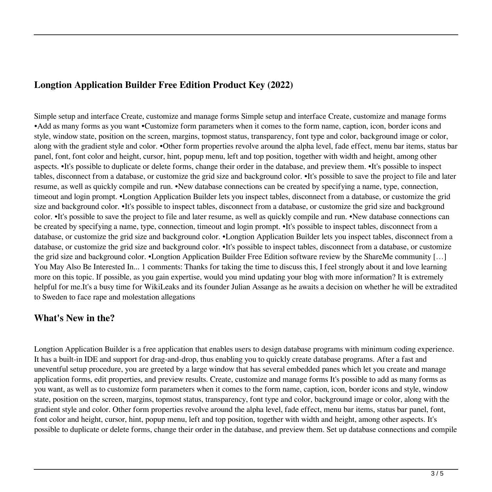### **Longtion Application Builder Free Edition Product Key (2022)**

Simple setup and interface Create, customize and manage forms Simple setup and interface Create, customize and manage forms •Add as many forms as you want •Customize form parameters when it comes to the form name, caption, icon, border icons and style, window state, position on the screen, margins, topmost status, transparency, font type and color, background image or color, along with the gradient style and color. •Other form properties revolve around the alpha level, fade effect, menu bar items, status bar panel, font, font color and height, cursor, hint, popup menu, left and top position, together with width and height, among other aspects. •It's possible to duplicate or delete forms, change their order in the database, and preview them. •It's possible to inspect tables, disconnect from a database, or customize the grid size and background color. •It's possible to save the project to file and later resume, as well as quickly compile and run. •New database connections can be created by specifying a name, type, connection, timeout and login prompt. •Longtion Application Builder lets you inspect tables, disconnect from a database, or customize the grid size and background color. •It's possible to inspect tables, disconnect from a database, or customize the grid size and background color. •It's possible to save the project to file and later resume, as well as quickly compile and run. •New database connections can be created by specifying a name, type, connection, timeout and login prompt. •It's possible to inspect tables, disconnect from a database, or customize the grid size and background color. •Longtion Application Builder lets you inspect tables, disconnect from a database, or customize the grid size and background color. •It's possible to inspect tables, disconnect from a database, or customize the grid size and background color. •Longtion Application Builder Free Edition software review by the ShareMe community […] You May Also Be Interested In... 1 comments: Thanks for taking the time to discuss this, I feel strongly about it and love learning more on this topic. If possible, as you gain expertise, would you mind updating your blog with more information? It is extremely helpful for me.It's a busy time for WikiLeaks and its founder Julian Assange as he awaits a decision on whether he will be extradited to Sweden to face rape and molestation allegations

### **What's New in the?**

Longtion Application Builder is a free application that enables users to design database programs with minimum coding experience. It has a built-in IDE and support for drag-and-drop, thus enabling you to quickly create database programs. After a fast and uneventful setup procedure, you are greeted by a large window that has several embedded panes which let you create and manage application forms, edit properties, and preview results. Create, customize and manage forms It's possible to add as many forms as you want, as well as to customize form parameters when it comes to the form name, caption, icon, border icons and style, window state, position on the screen, margins, topmost status, transparency, font type and color, background image or color, along with the gradient style and color. Other form properties revolve around the alpha level, fade effect, menu bar items, status bar panel, font, font color and height, cursor, hint, popup menu, left and top position, together with width and height, among other aspects. It's possible to duplicate or delete forms, change their order in the database, and preview them. Set up database connections and compile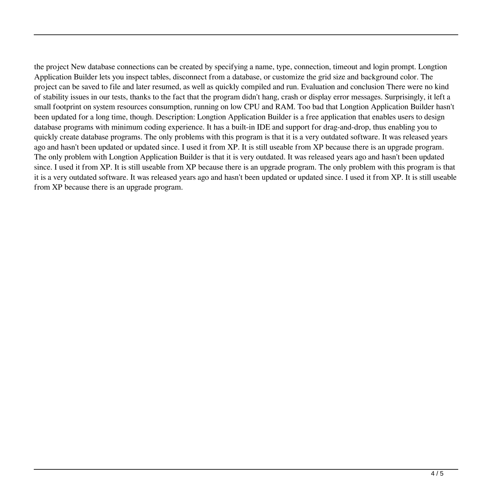the project New database connections can be created by specifying a name, type, connection, timeout and login prompt. Longtion Application Builder lets you inspect tables, disconnect from a database, or customize the grid size and background color. The project can be saved to file and later resumed, as well as quickly compiled and run. Evaluation and conclusion There were no kind of stability issues in our tests, thanks to the fact that the program didn't hang, crash or display error messages. Surprisingly, it left a small footprint on system resources consumption, running on low CPU and RAM. Too bad that Longtion Application Builder hasn't been updated for a long time, though. Description: Longtion Application Builder is a free application that enables users to design database programs with minimum coding experience. It has a built-in IDE and support for drag-and-drop, thus enabling you to quickly create database programs. The only problems with this program is that it is a very outdated software. It was released years ago and hasn't been updated or updated since. I used it from XP. It is still useable from XP because there is an upgrade program. The only problem with Longtion Application Builder is that it is very outdated. It was released years ago and hasn't been updated since. I used it from XP. It is still useable from XP because there is an upgrade program. The only problem with this program is that it is a very outdated software. It was released years ago and hasn't been updated or updated since. I used it from XP. It is still useable from XP because there is an upgrade program.